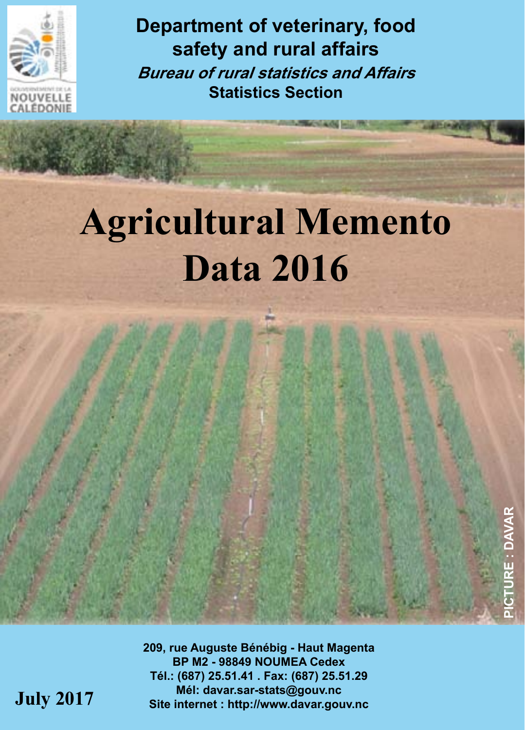

**Department of veterinary, food safety and rural affairs Bureau of rural statistics and Affairs Statistics Section**

# **Agricultural Memento Data 2016**

**209, rue Auguste Bénébig - Haut Magenta BP M2 - 98849 NOUMEA Cedex Tél.: (687) 25.51.41 . Fax: (687) 25.51.29 Mél: davar.sar-stats@gouv.nc July 2017 Site internet : http://www.davar.gouv.nc**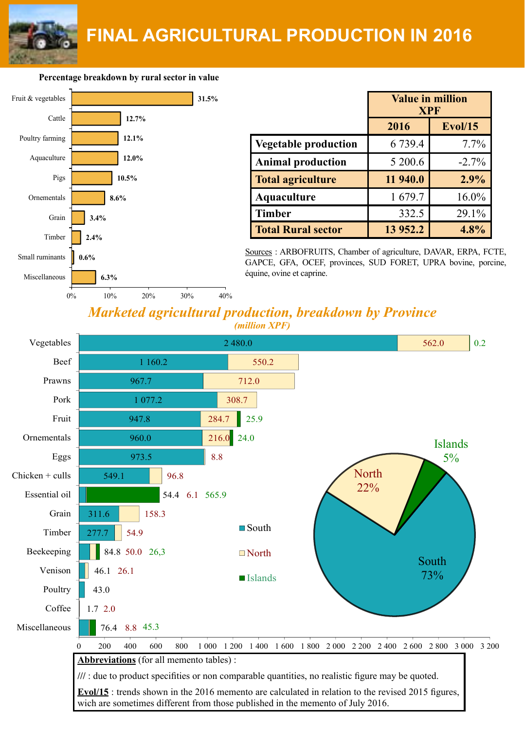

**Percentage breakdown by rural sector in value**



|                             | <b>Value in million</b><br><b>XPF</b> |         |  |
|-----------------------------|---------------------------------------|---------|--|
|                             | 2016                                  | Evol/15 |  |
| <b>Vegetable production</b> | 6 7 3 9 . 4                           | 7.7%    |  |
| <b>Animal production</b>    | 5 200.6                               | $-2.7%$ |  |
| <b>Total agriculture</b>    | 11 940.0                              | 2.9%    |  |
| Aquaculture                 | 1679.7                                | 16.0%   |  |
| <b>Timber</b>               | 332.5                                 | 29.1%   |  |
| <b>Total Rural sector</b>   | 13 952.2                              | 4.8%    |  |

Sources : ARBOFRUITS, Chamber of agriculture, DAVAR, ERPA, FCTE, GAPCE, GFA, OCEF, provinces, SUD FORET, UPRA bovine, porcine,

### *Marketed agricultural production, breakdown by Province (million XPF)*

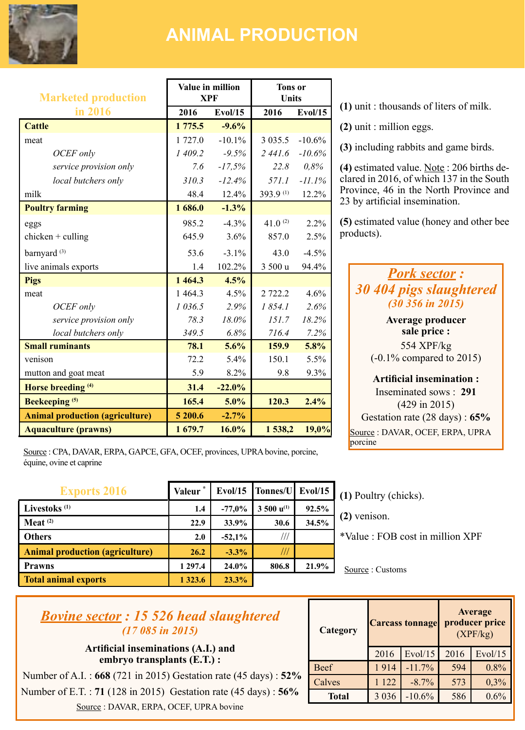

## **ANIMAL PRODUCTION**

| <b>Marketed production</b>             | Value in million<br><b>XPF</b> |          | <b>Tons</b> or<br><b>Units</b> |          |
|----------------------------------------|--------------------------------|----------|--------------------------------|----------|
| in 2016                                | 2016                           | Evol/15  | 2016                           | Evol/15  |
| Cattle                                 | 1 775.5                        | $-9.6%$  |                                |          |
| meat                                   | 1727.0                         | $-101%$  | 3 0 3 5 .5                     | $-10.6%$ |
| OCEF only                              | 1 409.2                        | $-9.5%$  | 2441.6                         | $-10.6%$ |
| service provision only                 | 7.6                            | $-17.5%$ | 22.8                           | 0.8%     |
| local butchers only                    | 310.3                          | $-12.4%$ | 571.1                          | $-11.1%$ |
| milk                                   | 484                            | 12.4%    | 393.9(1)                       | 12.2%    |
| <b>Poultry farming</b>                 | 1686.0                         | $-1.3%$  |                                |          |
| eggs                                   | 9852                           | $-4.3%$  | 41 $0^{(2)}$                   | 2.2%     |
| $chicken + culling$                    | 6459                           | 3.6%     | 8570                           | 2.5%     |
| barnyard <sup>(3)</sup>                | 53.6                           | $-31%$   | 43.0                           | $-4.5%$  |
| live animals exports                   | 14                             | 102.2%   | 3 500 u                        | 94.4%    |
| Pigs                                   | 1464.3                         | 4.5%     |                                |          |
| meat                                   | 14643                          | 4.5%     | 2 7 2 2 2                      | 4.6%     |
| OCEF only                              | 1036.5                         | 2.9%     | 1854.1                         | 2.6%     |
| service provision only                 | 78.3                           | 18.0%    | 151.7                          | 18.2%    |
| local butchers only                    | 349.5                          | 6.8%     | 716.4                          | 7.2%     |
| <b>Small ruminants</b>                 | 78.1                           | 5.6%     | 159.9                          | 5.8%     |
| venison                                | 72.2                           | 5.4%     | 150 1                          | 5.5%     |
| mutton and goat meat                   | 5.9                            | 8.2%     | 9.8                            | 9.3%     |
| Horse breeding <sup>(4)</sup>          | 31.4                           | $-22.0%$ |                                |          |
| Beekeeping <sup>(5)</sup>              | 165.4                          | 5.0%     | 120.3                          | 2.4%     |
| <b>Animal production (agriculture)</b> | 5 200.6                        | $-2.7%$  |                                |          |
| <b>Aquaculture (prawns)</b>            | 1679.7                         | 16.0%    | 1538,2                         | 19,0%    |

Source : CPA, DAVAR, ERPA, GAPCE, GFA, OCEF, provinces, UPRA bovine, porcine, équine, ovine et caprine

| <b>Exports 2016</b>                    | Valeur <sup>*</sup> |          | Evol/15 Tonnes/U Evol/15 |       |
|----------------------------------------|---------------------|----------|--------------------------|-------|
| Livestoks <sup>(1)</sup>               | 1.4                 | $-77.0%$ | $3500 u^{(1)}$           | 92.5% |
| $Meat$ <sup>(2)</sup>                  | 22.9                | 33.9%    | 30.6                     | 34.5% |
| <b>Others</b>                          | 2.0                 | $-52.1%$ | 111                      |       |
| <b>Animal production (agriculture)</b> | 26.2                | $-3.3%$  | $^{\prime\prime}$        |       |
| Prawns                                 | 1 297.4             | 24.0%    | 806.8                    | 21.9% |
| <b>Total animal exports</b>            | 1 3 2 3 . 6         | 23.3%    |                          |       |

**(1)** unit : thousands of liters of milk.

**(2)** unit : million eggs.

**(3)** including rabbits and game birds.

**(4)** estimated value. Note : 206 births declared in 2016, of which 137 in the South Province, 46 in the North Province and 23 by artificial insemination.

**(5)** estimated value (honey and other bee products).

### *Pork sector : 30 404 pigs slaughtered (30 356 in 2015)*

**Average producer sale price :**  554 XPF/kg (-0.1% compared to 2015)

**Artificial insemination :** Inseminated sows : **291**  (429 in 2015) Gestation rate (28 days) : **65%** Source : DAVAR, OCEF, ERPA, UPRA porcine

**(1)** Poultry (chicks).

**(2)** venison.

\*Value : FOB cost in million XPF

Source : Customs

### *Bovine sector : 15 526 head slaughtered (17 085 in 2015)*

**Artificial inseminations (A.I.) and embryo transplants (E.T.) :**

 Number of A.I. : **668** (721 in 2015) Gestation rate (45 days) : **52%** Number of E.T. : **71** (128 in 2015) Gestation rate (45 days) : **56%** Source : DAVAR, ERPA, OCEF, UPRA bovine

| Category     |         | <b>Carcass tonnage</b> |      | Average<br>producer price<br>(XPF/kg) |
|--------------|---------|------------------------|------|---------------------------------------|
|              | 2016    | Evol/15                | 2016 | Evol/15                               |
| Beef         | 1914    | $-11.7%$               | 594  | 0.8%                                  |
| Calves       | 122     | $-8.7\%$               | 573  | 0.3%                                  |
| <b>Total</b> | 3 0 3 6 | $-10.6%$               | 586  | 0.6%                                  |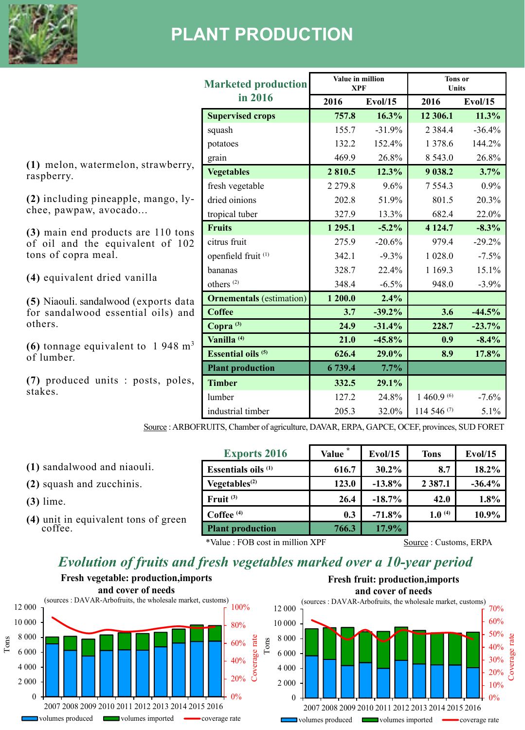

# **PLANT PRODUCTION**

|                                                                                             | <b>Marketed production</b>      | Value in million<br><b>XPF</b> |                | <b>Tons</b> or<br><b>Units</b> |          |  |
|---------------------------------------------------------------------------------------------|---------------------------------|--------------------------------|----------------|--------------------------------|----------|--|
|                                                                                             | in 2016                         | 2016                           | <b>Evol/15</b> | 2016                           | Evol/15  |  |
|                                                                                             | <b>Supervised crops</b>         | 757.8                          | 16.3%          | 12 306.1                       | 11.3%    |  |
|                                                                                             | squash                          | 155.7                          | $-31.9%$       | 2 3 8 4 . 4                    | $-36.4%$ |  |
|                                                                                             | potatoes                        | 132.2                          | 152.4%         | 1 3 7 8 . 6                    | 144.2%   |  |
| (1) melon, watermelon, strawberry,                                                          | grain                           | 469.9                          | 26.8%          | 8 5 4 3 .0                     | 26.8%    |  |
| raspberry.                                                                                  | <b>Vegetables</b>               | 2810.5                         | 12.3%          | 9 038.2                        | 3.7%     |  |
|                                                                                             | fresh vegetable                 | 2 2 7 9 .8                     | 9.6%           | 7554.3                         | 0.9%     |  |
| $(2)$ including pineapple, mango, $\vert v - \vert$                                         | dried oinions                   | 202.8                          | 51.9%          | 801.5                          | 20.3%    |  |
| chee, pawpaw, avocado                                                                       | tropical tuber                  | 327.9                          | 13.3%          | 682.4                          | 22.0%    |  |
| (3) main end products are 110 tons                                                          | <b>Fruits</b>                   | 1 2 9 5 1                      | $-5.2\%$       | 4 1 2 4 7                      | $-8.3%$  |  |
| of oil and the equivalent of 102<br>tons of copra meal.                                     | citrus fruit                    | 275.9                          | $-20.6%$       | 979.4                          | $-29.2%$ |  |
|                                                                                             | openfield fruit <sup>(1)</sup>  | 342.1                          | $-9.3%$        | 1 0 28.0                       | $-7.5%$  |  |
|                                                                                             | hananas                         | 328.7                          | 22.4%          | 1 1 6 9 . 3                    | 15.1%    |  |
| (4) equivalent dried vanilla                                                                | others $(2)$                    | 348.4                          | $-6.5%$        | 948.0                          | $-3.9%$  |  |
| (5) Niaouli, sandalwood (exports data                                                       | <b>Ornementals</b> (estimation) | 1 200.0                        | 2.4%           |                                |          |  |
| for sandalwood essential oils) and                                                          | Coffee                          | 3.7                            | $-39.2%$       | 3.6                            | $-44.5%$ |  |
| others.                                                                                     | Copra <sup>(3)</sup>            | 24.9                           | $-31.4%$       | 228.7                          | $-23.7%$ |  |
| (6) tonnage equivalent to $1.948 \text{ m}^3$                                               | Vanilla <sup>(4)</sup>          | 21.0                           | $-45.8%$       | 0.9                            | $-8.4%$  |  |
| of lumber.                                                                                  | <b>Essential oils (5)</b>       | 626.4                          | 29.0%          | 8.9                            | 17.8%    |  |
|                                                                                             | <b>Plant production</b>         | 6 739.4                        | 7.7%           |                                |          |  |
| (7) produced units : posts, poles,                                                          | <b>Timber</b>                   | 332.5                          | 29.1%          |                                |          |  |
| stakes.                                                                                     | lumber                          | 127.2                          | 24.8%          | 1 460.9 (6)                    | $-7.6%$  |  |
|                                                                                             | industrial timber               | 205.3                          | 32.0%          | 114 546 (7)                    | 5.1%     |  |
| Source : ARBOFRUITS, Chamber of agriculture, DAVAR, ERPA, GAPCE, OCEF, provinces, SUD FORET |                                 |                                |                |                                |          |  |

**(1)** sandalwood and niaouli.

**(2)** squash and zucchinis.

**(3)** lime.

**(4)** unit in equivalent tons of green coffee.

| <b>Exports 2016</b>       | Value | Evol/15  | <b>Tons</b> | Evol/15  |
|---------------------------|-------|----------|-------------|----------|
| Essentials oils $(1)$     | 616.7 | 30.2%    | 8.7         | 18.2%    |
| Vegetables <sup>(2)</sup> | 123.0 | $-13.8%$ | 2387.1      | $-36.4%$ |
| $F$ ruit $(3)$            | 26.4  | $-18.7%$ | 42.0        | 1.8%     |
| Coffee <sup>(4)</sup>     | 0.3   | $-71.8%$ | $1.0^{(4)}$ | 10.9%    |
| <b>Plant production</b>   | 766.3 | 17.9%    |             |          |

\*Value : FOB cost in million XPF Source : Customs, ERPA

### *Evolution of fruits and fresh vegetables marked over a 10-year period*

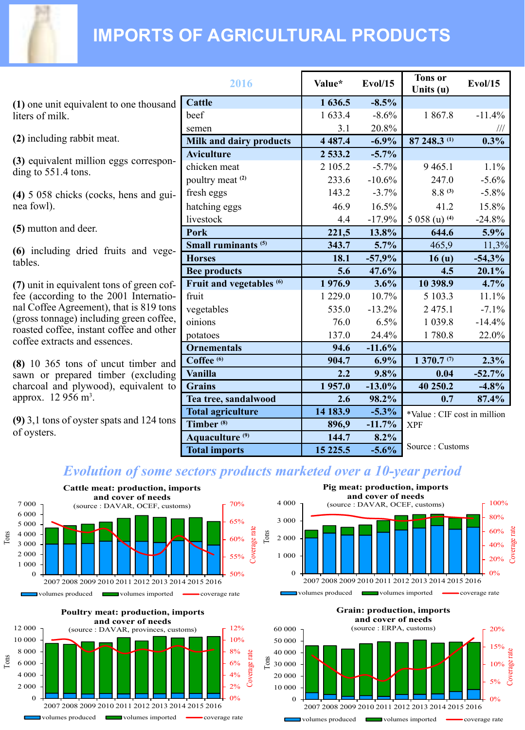

# **IMPORTS OF AGRICULTURAL PRODUCTS**

**(1)** one unit equivalent to one thousand liters of milk.

**(2)** including rabbit meat.

**(3)** equivalent million eggs corresponding to 551.4 tons.

**(4)** 5 058 chicks (cocks, hens and guinea fowl).

**(5)** mutton and deer.

**(6)** including dried fruits and vegetables.

**(7)** unit in equivalent tons of green coffee (according to the 2001 International Coffee Agreement), that is 819 tons (gross tonnage) including green coffee, roasted coffee, instant coffee and other coffee extracts and essences.

**(8)** 10 365 tons of uncut timber and sawn or prepared timber (excluding charcoal and plywood), equivalent to approx. 12 956 m<sup>3</sup>.

**(9)** 3,1 tons of oyster spats and 124 tons of oysters.

| 2016                                | Value*      | Evol/15  | <b>Tons</b> or<br>Units (u)  | Evol/15  |
|-------------------------------------|-------------|----------|------------------------------|----------|
| Cattle                              | 1636.5      | $-8.5%$  |                              |          |
| beef                                | 1633.4      | $-8.6%$  | 18678                        | $-11.4%$ |
| semen                               | 3.1         | 20.8%    |                              | Ш        |
| Milk and dairy products             | 4 4 8 7 . 4 | $-6.9%$  | 87 248.3 (1)                 | 0.3%     |
| <b>Aviculture</b>                   | 2 533.2     | $-5.7%$  |                              |          |
| chicken meat                        | 2 105.2     | $-5.7\%$ | 9465.1                       | 1.1%     |
| poultry meat <sup>(2)</sup>         | 233.6       | $-10.6%$ | 247.0                        | $-5.6%$  |
| fresh eggs                          | 143.2       | $-3.7%$  | $88^{(3)}$                   | $-5.8\%$ |
| hatching eggs                       | 469         | 16.5%    | 41 2                         | 15.8%    |
| livestock                           | 4.4         | $-17.9%$ | 5 058 (u) (4)                | $-24.8%$ |
| Pork                                | 221,5       | 13.8%    | 644.6                        | 5.9%     |
| Small ruminants <sup>(5)</sup>      | 343.7       | 5.7%     | 465,9                        | 11,3%    |
| <b>Horses</b>                       | 18.1        | $-57,9%$ | 16 <sub>(u)</sub>            | $-54,3%$ |
| <b>Bee products</b>                 | 5.6         | 47.6%    | 4.5                          | 20.1%    |
| Fruit and vegetables <sup>(6)</sup> | 1976.9      | 3.6%     | 10 398.9                     | 4.7%     |
| fruit                               | 1 2 2 9 .0  | 10.7%    | 5 103.3                      | 11.1%    |
| vegetables                          | 535.0       | $-13.2%$ | 2 4 7 5 .1                   | $-7.1%$  |
| oinions                             | 76.0        | 6.5%     | 1 0 3 9 . 8                  | $-14.4%$ |
| potatoes                            | 137.0       | 24.4%    | 1780.8                       | 22.0%    |
| <b>Ornementals</b>                  | 94.6        | $-11.6%$ |                              |          |
| Coffee <sup>(6)</sup>               | 904.7       | $6.9\%$  | 1370.7 <sup>(7)</sup>        | 2.3%     |
| Vanilla                             | 2.2         | 9.8%     | 0.04                         | $-52.7%$ |
| <b>Grains</b>                       | 1957.0      | $-13.0%$ | 40 250.2                     | $-4.8%$  |
| Tea tree, sandalwood                | 2.6         | 98.2%    | 0.7                          | 87.4%    |
| <b>Total agriculture</b>            | 14 183.9    | $-5.3\%$ | *Value : CIF cost in million |          |
| Timber <sup>(8)</sup>               | 896,9       | $-11.7%$ | <b>XPF</b>                   |          |
| Aquaculture <sup>(9)</sup>          | 144.7       | 8.2%     |                              |          |
| <b>Total imports</b>                | 15 2 2 5 .5 | $-5.6%$  | Source: Customs              |          |

0% 20% 40% 60% 80% 100%

0% 5% 10% 15% 20%

Coverage rate

Coverage rate

erage

### *Evolution of some sectors products marketed over a 10-year period*

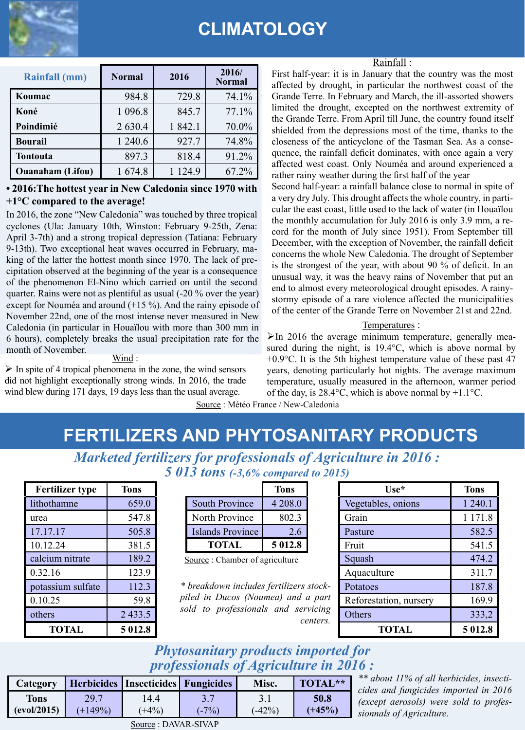

# **CLIMATOLOGY**

| Rainfall (mm)           | Normal    | 2016      | 2016/<br><b>Normal</b> |
|-------------------------|-----------|-----------|------------------------|
| Koumac                  | 984.8     | 729.8     | 74.1%                  |
| Koné                    | 1 0 9 6.8 | 845.7     | 77.1%                  |
| Poindimié               | 2 6 3 0.4 | 18421     | 70.0%                  |
| <b>Bourail</b>          | 1 240.6   | 927.7     | 74.8%                  |
| Tontouta                | 897.3     | 818.4     | 91.2%                  |
| <b>Ouanaham</b> (Lifou) | 1674.8    | 1 1 2 4 9 | 67.2%                  |

#### **• 2016:The hottest year in New Caledonia since 1970 with +1°C compared to the average!**

In 2016, the zone "New Caledonia" was touched by three tropical cyclones (Ula: January 10th, Winston: February 9-25th, Zena: April 3-7th) and a strong tropical depression (Tatiana: February 9-13th). Two exceptional heat waves occurred in February, making of the latter the hottest month since 1970. The lack of precipitation observed at the beginning of the year is a consequence of the phenomenon El-Nino which carried on until the second quarter. Rains were not as plentiful as usual (-20 % over the year) except for Nouméa and around (+15 %). And the rainy episode of November 22nd, one of the most intense never measured in New Caledonia (in particular in Houaïlou with more than 300 mm in 6 hours), completely breaks the usual precipitation rate for the month of November.

Wind :

 $\triangleright$  In spite of 4 tropical phenomena in the zone, the wind sensors did not highlight exceptionally strong winds. In 2016, the trade wind blew during 171 days, 19 days less than the usual average.

Rainfall :

First half-year: it is in January that the country was the most affected by drought, in particular the northwest coast of the Grande Terre. In February and March, the ill-assorted showers limited the drought, excepted on the northwest extremity of the Grande Terre. From April till June, the country found itself shielded from the depressions most of the time, thanks to the closeness of the anticyclone of the Tasman Sea. As a consequence, the rainfall deficit dominates, with once again a very affected west coast. Only Nouméa and around experienced a rather rainy weather during the first half of the year

Second half-year: a rainfall balance close to normal in spite of a very dry July. This drought affects the whole country, in particular the east coast, little used to the lack of water (in Houaïlou the monthly accumulation for July 2016 is only 3.9 mm, a record for the month of July since 1951). From September till December, with the exception of November, the rainfall deficit concerns the whole New Caledonia. The drought of September is the strongest of the year, with about 90 % of deficit. In an unusual way, it was the heavy rains of November that put an end to almost every meteorological drought episodes. A rainystormy episode of a rare violence affected the municipalities of the center of the Grande Terre on November 21st and 22nd.

#### Temperatures :

 $\triangleright$  In 2016 the average minimum temperature, generally measured during the night, is 19.4°C, which is above normal by +0.9°C. It is the 5th highest temperature value of these past 47 years, denoting particularly hot nights. The average maximum temperature, usually measured in the afternoon, warmer period of the day, is 28.4°C, which is above normal by +1.1°C.

Source : Météo France / New-Caledonia

# **FERTILIZERS AND PHYTOSANITARY PRODUCTS**

*Marketed fertilizers for professionals of Agriculture in 2016 : 5 013 tons (-3,6% compared to 2015)*

| <b>Fertilizer type</b> | Tons   |
|------------------------|--------|
| lithothamne            | 659.0  |
| urea                   | 547.8  |
| 17.17.17               | 505.8  |
| 10 12 24               | 381.5  |
| calcium nitrate        | 189.2  |
| 0.32.16                | 123.9  |
| potassium sulfate      | 112.3  |
| 0.10.25                | 59.8   |
| others                 | 2433.5 |
| <b>TOTAL</b>           | 5012.8 |

|                  | <b>Tons</b> |
|------------------|-------------|
| South Province   | 4 2 0 8 .0  |
| North Province   | 802.3       |
| Islands Province | 26          |
| <b>TOTAL</b>     | 5012.8      |

| <b>Fertilizer type</b> | Tons       |                                         | <b>Tons</b> |          | $Use*$                 | Tons    |
|------------------------|------------|-----------------------------------------|-------------|----------|------------------------|---------|
| lithothamne            | 659.0      | South Province                          | 4 2 0 8 .0  |          | Vegetables, onions     | 1 240.1 |
| urea                   | 547.8      | North Province                          | 802.3       |          | Grain                  | 1 171.8 |
| 17.17.17               | 505.8      | Islands Province                        | 2.6         |          | Pasture                | 582.5   |
| 10.12.24               | 381.5      | <b>TOTAL</b>                            | 5 012.8     |          | Fruit                  | 541.5   |
| calcium nitrate        | 189.2      | Source: Chamber of agriculture          |             |          | Squash                 | 474.2   |
| 0 32 16                | 123.9      |                                         |             |          | Aquaculture            | 311.7   |
| potassium sulfate      | 112.3      | * breakdown includes fertilizers stock- |             |          | Potatoes               | 187.8   |
| 0.10.25                | 59.8       | piled in Ducos (Noumea) and a part      |             |          | Reforestation, nursery | 169.9   |
| others                 | 2 4 3 3 .5 | sold to professionals and servicing     |             | centers. | Others                 | 333,2   |
| <b>TOTAL</b>           | 5 012.8    |                                         |             |          | <b>TOTAL</b>           | 5012.8  |

### *Phytosanitary products imported for professionals of Agriculture in 2016 :*

| Category    |           | Herbicides Insecticides Fungicides |         | Misc.    | TOTAL**  |
|-------------|-----------|------------------------------------|---------|----------|----------|
| Tons        | 29.7      | 14.4                               |         |          | 50.8     |
| (evol/2015) | $(+149%)$ | $(+4%)$                            | $(-7%)$ | $(-42%)$ | $(+45%)$ |

*\*\* about 11% of all herbicides, insecticides and fungicides imported in 2016 (except aerosols) were sold to professionnals of Agriculture.*

Source : DAVAR-SIVAP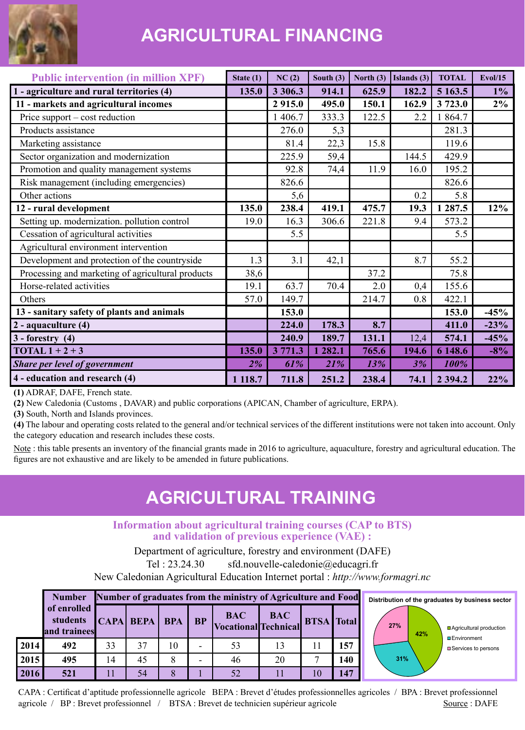

# **AGRICULTURAL FINANCING**

| <b>Public intervention (in million XPF)</b>       | State (1) | NC(2)      | South $(3)$ | North (3) | Islands (3)    | <b>TOTAL</b> | Evol/15 |
|---------------------------------------------------|-----------|------------|-------------|-----------|----------------|--------------|---------|
| 1 - agriculture and rural territories (4)         | 135.0     | 3 3 0 6 .3 | 914.1       | 625.9     | 182.2          | 5 1 6 3 .5   | $1\%$   |
| 11 - markets and agricultural incomes             |           | 2915.0     | 495.0       | 150.1     | 162.9          | 3723.0       | 2%      |
| Price support – cost reduction                    |           | 1 406.7    | 333.3       | 122.5     | 2.2            | 1864.7       |         |
| Products assistance                               |           | 276.0      | 5,3         |           |                | 281.3        |         |
| Marketing assistance                              |           | 81.4       | 22,3        | 15.8      |                | 119.6        |         |
| Sector organization and modernization             |           | 225.9      | 59,4        |           | 144.5          | 429.9        |         |
| Promotion and quality management systems          |           | 92.8       | 74,4        | 11.9      | 16.0           | 195.2        |         |
| Risk management (including emergencies)           |           | 826.6      |             |           |                | 826.6        |         |
| Other actions                                     |           | 5,6        |             |           | 0 <sub>2</sub> | 5.8          |         |
| 12 - rural development                            | 135.0     | 238.4      | 419.1       | 475.7     | 19.3           | 1 287.5      | 12%     |
| Setting up. modernization. pollution control      | 19.0      | 16.3       | 306.6       | 221.8     | 9.4            | 573.2        |         |
| Cessation of agricultural activities              |           | 5.5        |             |           |                | 5.5          |         |
| Agricultural environment intervention             |           |            |             |           |                |              |         |
| Development and protection of the countryside     | 1.3       | 3.1        | 42,1        |           | 8.7            | 55.2         |         |
| Processing and marketing of agricultural products | 38,6      |            |             | 37.2      |                | 75.8         |         |
| Horse-related activities                          | 19.1      | 63.7       | 70.4        | 2.0       | 0,4            | 155.6        |         |
| Others                                            | 57.0      | 149.7      |             | 214.7     | 0.8            | 422.1        |         |
| 13 - sanitary safety of plants and animals        |           | 153.0      |             |           |                | 153.0        | $-45%$  |
| 2 - aquaculture (4)                               |           | 224.0      | 178.3       | 8.7       |                | 411.0        | $-23%$  |
| $3 -$ forestry $(4)$                              |           | 240.9      | 189.7       | 131.1     | 12.4           | 574.1        | $-45%$  |
| TOTAL $1 + 2 + 3$                                 | 135.0     | 3771.3     | 282.1       | 765.6     | 194.6          | 6 148.6      | $-8%$   |
| Share per level of government                     | 2%        | 61%        | 21%         | 13%       | 3%             | 100%         |         |
| 4 - education and research (4)                    | 1 118.7   | 711.8      | 251.2       | 238.4     | 74.1           | 2 3 9 4 .2   | 22%     |

**(1)** ADRAF, DAFE, French state.

**(2)** New Caledonia (Customs , DAVAR) and public corporations (APICAN, Chamber of agriculture, ERPA).

**(3)** South, North and Islands provinces.

**(4)** The labour and operating costs related to the general and/or technical services of the different institutions were not taken into account. Only the category education and research includes these costs.

Note: this table presents an inventory of the financial grants made in 2016 to agriculture, aquaculture, forestry and agricultural education. The figures are not exhaustive and are likely to be amended in future publications.

### **AGRICULTURAL TRAINING**

### **Information about agricultural training courses (CAP to BTS) and validation of previous experience (VAE) :**

Department of agriculture, forestry and environment (DAFE) Tel : 23.24.30 sfd.nouvelle-caledonie@educagri.fr

New Caledonian Agricultural Education Internet portal : *http://www.formagri.nc*

|      | <b>Number</b>                           | Number of graduates from the ministry of Agriculture and Food |               |    |                          |                                               |            |  | <b>Distril</b> |  |
|------|-----------------------------------------|---------------------------------------------------------------|---------------|----|--------------------------|-----------------------------------------------|------------|--|----------------|--|
|      | of enrolled<br>students<br>and trainees |                                                               | CAPA BEPA BPA |    | <b>BP</b>                | <b>BAC</b><br>Vocational Technical BTSA Total | <b>BAC</b> |  |                |  |
| 2014 | 492                                     | 33                                                            | 37            | 10 | $\overline{\phantom{0}}$ | 53                                            |            |  | 157            |  |
| 2015 | 495                                     | 14                                                            | 45            |    |                          | 46                                            | 20         |  | 140            |  |
| 2016 | 521                                     |                                                               | 54            |    |                          | 52                                            |            |  | 147            |  |



CAPA : Certificat d'aptitude professionnelle agricole BEPA : Brevet d'études professionnelles agricoles / BPA : Brevet professionnel agricole / BP : Brevet professionnel / BTSA : Brevet de technicien supérieur agricole Source : DAFE